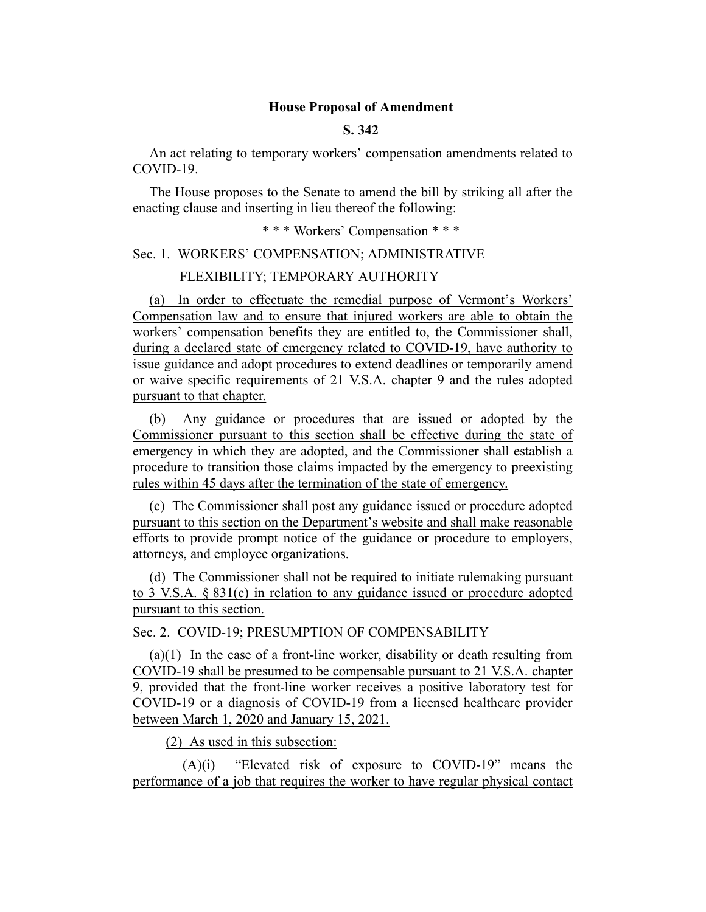### **House Proposal of Amendment**

## **S. 342**

An act relating to temporary workers' compensation amendments related to COVID-19.

The House proposes to the Senate to amend the bill by striking all after the enacting clause and inserting in lieu thereof the following:

\* \* \* Workers' Compensation \* \* \*

Sec. 1. WORKERS' COMPENSATION; ADMINISTRATIVE

#### FLEXIBILITY; TEMPORARY AUTHORITY

(a) In order to effectuate the remedial purpose of Vermont's Workers' Compensation law and to ensure that injured workers are able to obtain the workers' compensation benefits they are entitled to, the Commissioner shall, during a declared state of emergency related to COVID-19, have authority to issue guidance and adopt procedures to extend deadlines or temporarily amend or waive specific requirements of 21 V.S.A. chapter 9 and the rules adopted pursuant to that chapter.

(b) Any guidance or procedures that are issued or adopted by the Commissioner pursuant to this section shall be effective during the state of emergency in which they are adopted, and the Commissioner shall establish a procedure to transition those claims impacted by the emergency to preexisting rules within 45 days after the termination of the state of emergency.

(c) The Commissioner shall post any guidance issued or procedure adopted pursuant to this section on the Department's website and shall make reasonable efforts to provide prompt notice of the guidance or procedure to employers, attorneys, and employee organizations.

(d) The Commissioner shall not be required to initiate rulemaking pursuant to 3 V.S.A. § 831(c) in relation to any guidance issued or procedure adopted pursuant to this section.

Sec. 2. COVID-19; PRESUMPTION OF COMPENSABILITY

(a)(1) In the case of a front-line worker, disability or death resulting from COVID-19 shall be presumed to be compensable pursuant to 21 V.S.A. chapter 9, provided that the front-line worker receives a positive laboratory test for COVID-19 or a diagnosis of COVID-19 from a licensed healthcare provider between March 1, 2020 and January 15, 2021.

(2) As used in this subsection:

(A)(i) "Elevated risk of exposure to COVID-19" means the performance of a job that requires the worker to have regular physical contact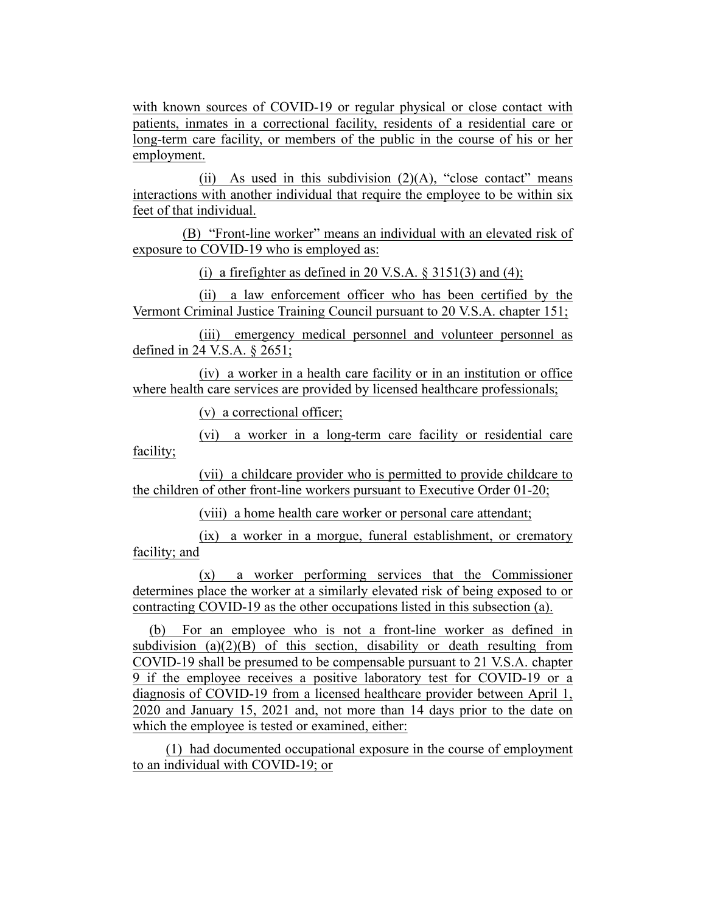with known sources of COVID-19 or regular physical or close contact with patients, inmates in a correctional facility, residents of a residential care or long-term care facility, or members of the public in the course of his or her employment.

(ii) As used in this subdivision  $(2)(A)$ , "close contact" means interactions with another individual that require the employee to be within six feet of that individual.

(B) "Front-line worker" means an individual with an elevated risk of exposure to COVID-19 who is employed as:

(i) a firefighter as defined in 20 V.S.A.  $\S$  3151(3) and (4);

(ii) a law enforcement officer who has been certified by the Vermont Criminal Justice Training Council pursuant to 20 V.S.A. chapter 151;

(iii) emergency medical personnel and volunteer personnel as defined in 24 V.S.A. § 2651;

(iv) a worker in a health care facility or in an institution or office where health care services are provided by licensed healthcare professionals;

(v) a correctional officer;

(vi) a worker in a long-term care facility or residential care facility;

(vii) a childcare provider who is permitted to provide childcare to the children of other front-line workers pursuant to Executive Order 01-20;

(viii) a home health care worker or personal care attendant;

(ix) a worker in a morgue, funeral establishment, or crematory facility; and

(x) a worker performing services that the Commissioner determines place the worker at a similarly elevated risk of being exposed to or contracting COVID-19 as the other occupations listed in this subsection (a).

(b) For an employee who is not a front-line worker as defined in subdivision  $(a)(2)(B)$  of this section, disability or death resulting from COVID-19 shall be presumed to be compensable pursuant to 21 V.S.A. chapter 9 if the employee receives a positive laboratory test for COVID-19 or a diagnosis of COVID-19 from a licensed healthcare provider between April 1, 2020 and January 15, 2021 and, not more than 14 days prior to the date on which the employee is tested or examined, either:

(1) had documented occupational exposure in the course of employment to an individual with COVID-19; or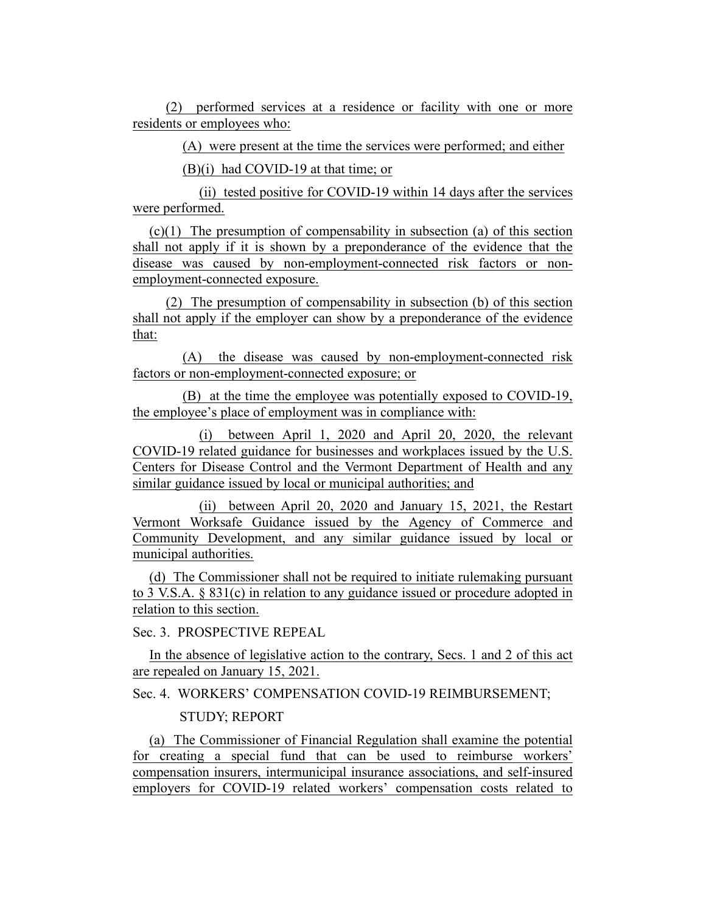(2) performed services at a residence or facility with one or more residents or employees who:

(A) were present at the time the services were performed; and either

(B)(i) had COVID-19 at that time; or

(ii) tested positive for COVID-19 within 14 days after the services were performed.

(c)(1) The presumption of compensability in subsection (a) of this section shall not apply if it is shown by a preponderance of the evidence that the disease was caused by non-employment-connected risk factors or nonemployment-connected exposure.

(2) The presumption of compensability in subsection (b) of this section shall not apply if the employer can show by a preponderance of the evidence that:

(A) the disease was caused by non-employment-connected risk factors or non-employment-connected exposure; or

(B) at the time the employee was potentially exposed to COVID-19, the employee's place of employment was in compliance with:

(i) between April 1, 2020 and April 20, 2020, the relevant COVID-19 related guidance for businesses and workplaces issued by the U.S. Centers for Disease Control and the Vermont Department of Health and any similar guidance issued by local or municipal authorities; and

(ii) between April 20, 2020 and January 15, 2021, the Restart Vermont Worksafe Guidance issued by the Agency of Commerce and Community Development, and any similar guidance issued by local or municipal authorities.

(d) The Commissioner shall not be required to initiate rulemaking pursuant to 3 V.S.A. § 831(c) in relation to any guidance issued or procedure adopted in relation to this section.

Sec. 3. PROSPECTIVE REPEAL

In the absence of legislative action to the contrary, Secs. 1 and 2 of this act are repealed on January 15, 2021.

# Sec. 4. WORKERS' COMPENSATION COVID-19 REIMBURSEMENT; STUDY; REPORT

(a) The Commissioner of Financial Regulation shall examine the potential for creating a special fund that can be used to reimburse workers' compensation insurers, intermunicipal insurance associations, and self-insured employers for COVID-19 related workers' compensation costs related to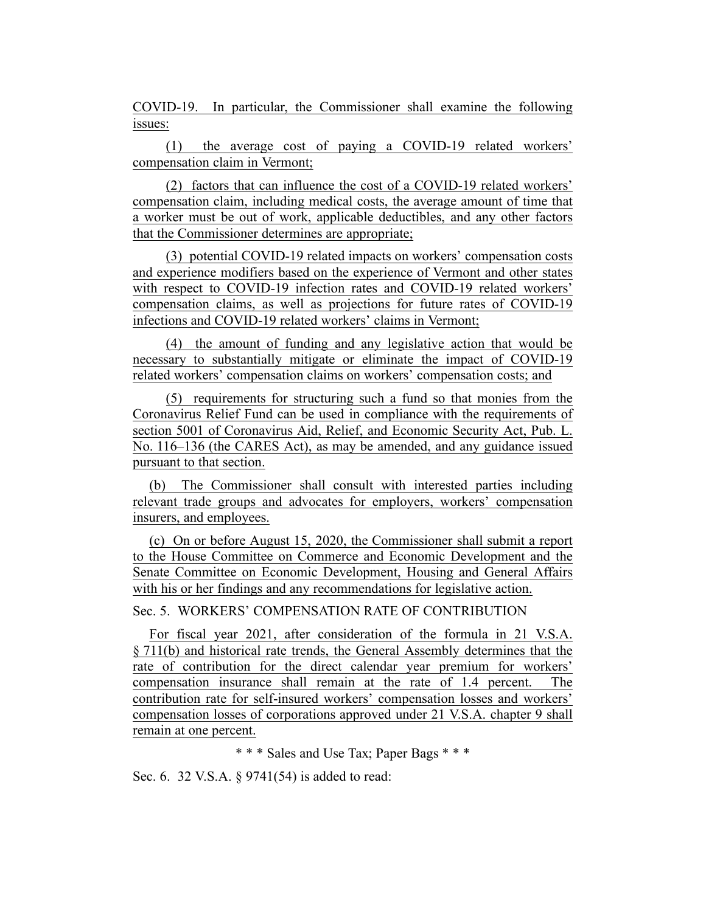COVID-19. In particular, the Commissioner shall examine the following issues:

(1) the average cost of paying a COVID-19 related workers' compensation claim in Vermont;

(2) factors that can influence the cost of a COVID-19 related workers' compensation claim, including medical costs, the average amount of time that a worker must be out of work, applicable deductibles, and any other factors that the Commissioner determines are appropriate;

(3) potential COVID-19 related impacts on workers' compensation costs and experience modifiers based on the experience of Vermont and other states with respect to COVID-19 infection rates and COVID-19 related workers' compensation claims, as well as projections for future rates of COVID-19 infections and COVID-19 related workers' claims in Vermont;

(4) the amount of funding and any legislative action that would be necessary to substantially mitigate or eliminate the impact of COVID-19 related workers' compensation claims on workers' compensation costs; and

(5) requirements for structuring such a fund so that monies from the Coronavirus Relief Fund can be used in compliance with the requirements of section 5001 of Coronavirus Aid, Relief, and Economic Security Act, Pub. L. No. 116–136 (the CARES Act), as may be amended, and any guidance issued pursuant to that section.

(b) The Commissioner shall consult with interested parties including relevant trade groups and advocates for employers, workers' compensation insurers, and employees.

(c) On or before August 15, 2020, the Commissioner shall submit a report to the House Committee on Commerce and Economic Development and the Senate Committee on Economic Development, Housing and General Affairs with his or her findings and any recommendations for legislative action.

Sec. 5. WORKERS' COMPENSATION RATE OF CONTRIBUTION

For fiscal year 2021, after consideration of the formula in 21 V.S.A. § 711(b) and historical rate trends, the General Assembly determines that the rate of contribution for the direct calendar year premium for workers' compensation insurance shall remain at the rate of 1.4 percent. The contribution rate for self-insured workers' compensation losses and workers' compensation losses of corporations approved under 21 V.S.A. chapter 9 shall remain at one percent.

\* \* \* Sales and Use Tax; Paper Bags \* \* \*

Sec. 6. 32 V.S.A. § 9741(54) is added to read: